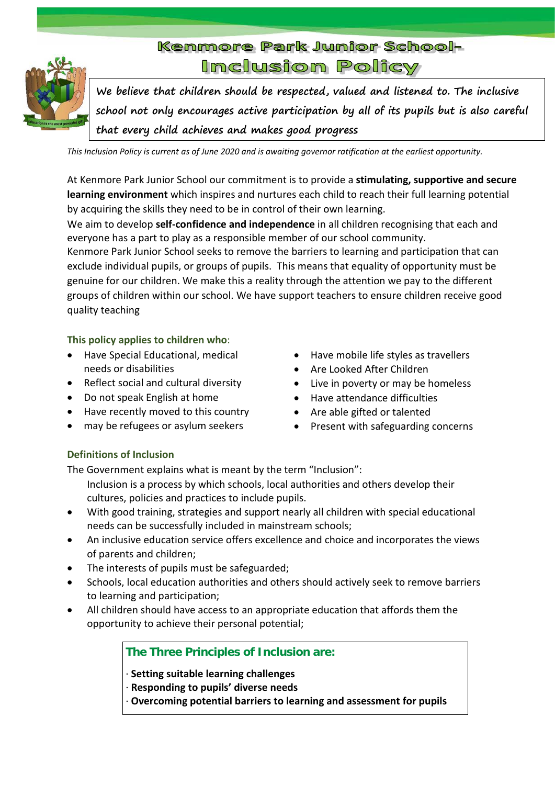

**We believe that children should be respected, valued and listened to. The inclusive school not only encourages active participation by all of its pupils but is also careful that every child achieves and makes good progress**

*This Inclusion Policy is current as of June 2020 and is awaiting governor ratification at the earliest opportunity.*

At Kenmore Park Junior School our commitment is to provide a **stimulating, supportive and secure learning environment** which inspires and nurtures each child to reach their full learning potential by acquiring the skills they need to be in control of their own learning.

We aim to develop **self-confidence and independence** in all children recognising that each and everyone has a part to play as a responsible member of our school community.

Kenmore Park Junior School seeks to remove the barriers to learning and participation that can exclude individual pupils, or groups of pupils. This means that equality of opportunity must be genuine for our children. We make this a reality through the attention we pay to the different groups of children within our school. We have support teachers to ensure children receive good quality teaching

## **This policy applies to children who**:

- Have Special Educational, medical needs or disabilities
- Reflect social and cultural diversity
- Do not speak English at home
- Have recently moved to this country
- may be refugees or asylum seekers
- Have mobile life styles as travellers
- Are Looked After Children
- Live in poverty or may be homeless
- Have attendance difficulties
- Are able gifted or talented
- Present with safeguarding concerns

# **Definitions of Inclusion**

The Government explains what is meant by the term "Inclusion":

- Inclusion is a process by which schools, local authorities and others develop their cultures, policies and practices to include pupils.
- With good training, strategies and support nearly all children with special educational needs can be successfully included in mainstream schools;
- An inclusive education service offers excellence and choice and incorporates the views of parents and children;
- The interests of pupils must be safeguarded;
- Schools, local education authorities and others should actively seek to remove barriers to learning and participation;
- All children should have access to an appropriate education that affords them the opportunity to achieve their personal potential;

# **The Three Principles of Inclusion are:**

· **Setting suitable learning challenges**

- · **Responding to pupils' diverse needs**
- · **Overcoming potential barriers to learning and assessment for pupils**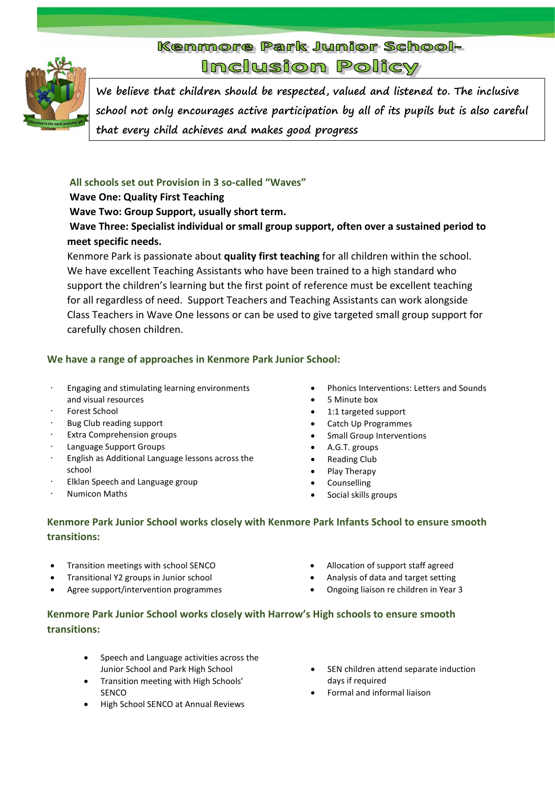

**We believe that children should be respected, valued and listened to. The inclusive school not only encourages active participation by all of its pupils but is also careful that every child achieves and makes good progress**

## **All schools set out Provision in 3 so-called "Waves"**

# **Wave One: Quality First Teaching**

**Wave Two: Group Support, usually short term.**

# **Wave Three: Specialist individual or small group support, often over a sustained period to meet specific needs.**

Kenmore Park is passionate about **quality first teaching** for all children within the school. We have excellent Teaching Assistants who have been trained to a high standard who support the children's learning but the first point of reference must be excellent teaching for all regardless of need. Support Teachers and Teaching Assistants can work alongside Class Teachers in Wave One lessons or can be used to give targeted small group support for carefully chosen children.

# **We have a range of approaches in Kenmore Park Junior School:**

- · Engaging and stimulating learning environments and visual resources
- Forest School
- Bug Club reading support
- Extra Comprehension groups
- Language Support Groups
- · English as Additional Language lessons across the school
- Elklan Speech and Language group
- · Numicon Maths
- Phonics Interventions: Letters and Sounds
- 5 Minute box
- 1:1 targeted support
- Catch Up Programmes
- Small Group Interventions
- A.G.T. groups
- Reading Club
- Play Therapy
- **Counselling**
- Social skills groups

# **Kenmore Park Junior School works closely with Kenmore Park Infants School to ensure smooth transitions:**

- Transition meetings with school SENCO
- Transitional Y2 groups in Junior school
- Agree support/intervention programmes
- Allocation of support staff agreed
- Analysis of data and target setting
- Ongoing liaison re children in Year 3

# **Kenmore Park Junior School works closely with Harrow's High schools to ensure smooth transitions:**

- Speech and Language activities across the Junior School and Park High School
- Transition meeting with High Schools' SENCO
- High School SENCO at Annual Reviews
- SEN children attend separate induction days if required
- Formal and informal liaison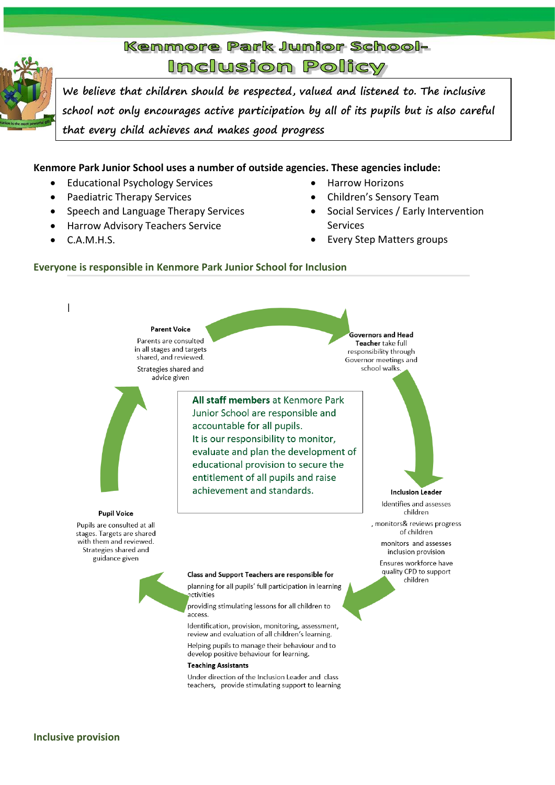

**We believe that children should be respected, valued and listened to. The inclusive school not only encourages active participation by all of its pupils but is also careful that every child achieves and makes good progress**

### **Kenmore Park Junior School uses a number of outside agencies. These agencies include:**

- Educational Psychology Services
- Paediatric Therapy Services
- Speech and Language Therapy Services
- Harrow Advisory Teachers Service
- C.A.M.H.S.
- Harrow Horizons
- Children's Sensory Team
- Social Services / Early Intervention Services
- Every Step Matters groups

#### **Everyone is responsible in Kenmore Park Junior School for Inclusion**

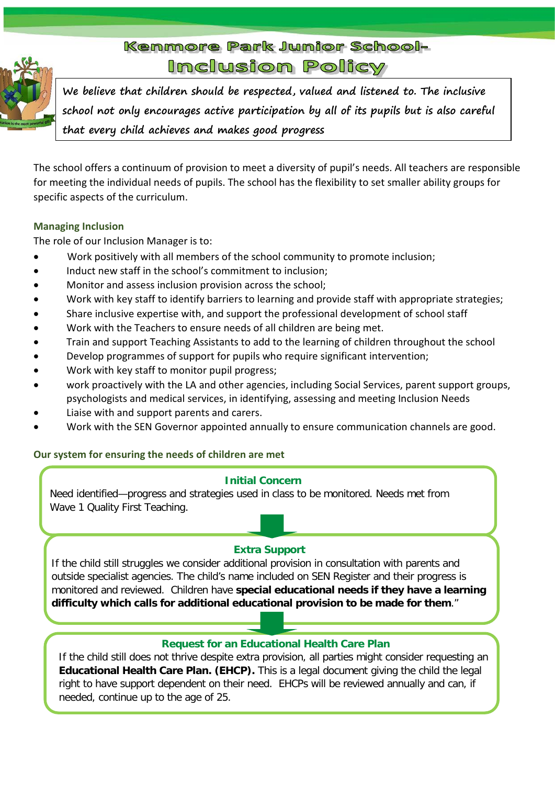

**We believe that children should be respected, valued and listened to. The inclusive school not only encourages active participation by all of its pupils but is also careful that every child achieves and makes good progress**

The school offers a continuum of provision to meet a diversity of pupil's needs. All teachers are responsible for meeting the individual needs of pupils. The school has the flexibility to set smaller ability groups for specific aspects of the curriculum.

# **Managing Inclusion**

The role of our Inclusion Manager is to:

- Work positively with all members of the school community to promote inclusion;
- Induct new staff in the school's commitment to inclusion;
- Monitor and assess inclusion provision across the school;
- Work with key staff to identify barriers to learning and provide staff with appropriate strategies;
- Share inclusive expertise with, and support the professional development of school staff
- Work with the Teachers to ensure needs of all children are being met.
- Train and support Teaching Assistants to add to the learning of children throughout the school
- Develop programmes of support for pupils who require significant intervention;
- Work with key staff to monitor pupil progress;
- work proactively with the LA and other agencies, including Social Services, parent support groups, psychologists and medical services, in identifying, assessing and meeting Inclusion Needs
- Liaise with and support parents and carers.
- Work with the SEN Governor appointed annually to ensure communication channels are good.

# **Our system for ensuring the needs of children are met**

### **Initial Concern**

Need identified—progress and strategies used in class to be monitored. Needs met from Wave 1 Quality First Teaching.

# **Extra Support**

If the child still struggles we consider additional provision in consultation with parents and outside specialist agencies. The child's name included on SEN Register and their progress is monitored and reviewed. Children have **special educational needs if they have a learning difficulty which calls for additional educational provision to be made for them**."

# **Request for an Educational Health Care Plan**

If the child still does not thrive despite extra provision, all parties might consider requesting an **Educational Health Care Plan. (EHCP).** This is a legal document giving the child the legal right to have support dependent on their need. EHCPs will be reviewed annually and can, if needed, continue up to the age of 25.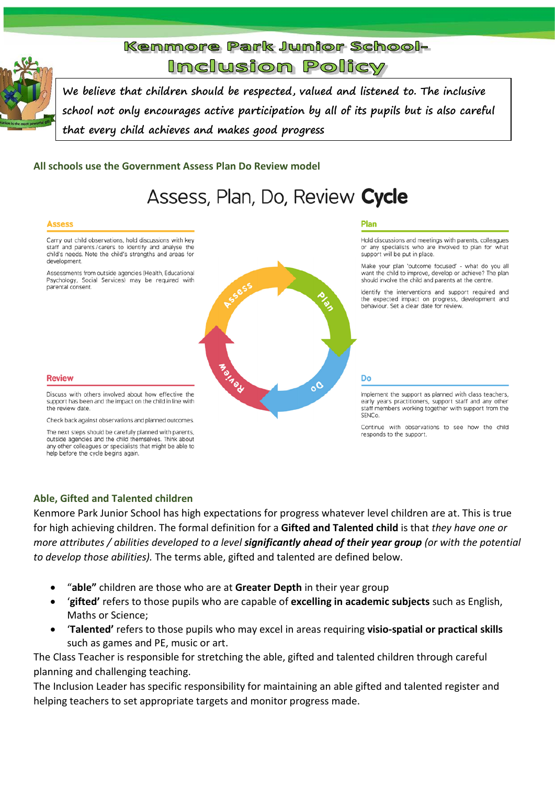

**We believe that children should be respected, valued and listened to. The inclusive school not only encourages active participation by all of its pupils but is also careful that every child achieves and makes good progress**

### **All schools use the Government Assess Plan Do Review model**

# Assess, Plan, Do, Review Cycle

#### **Assess**

Carry out child observations, hold discussions with key staff and parents/carers to identify and analyse the child's needs. Note the child's strengths and areas for development.

Assessments from outside agencies (Health, Educational Psychology, Social Services) may be required with parental consent.



#### Plan

Hold discussions and meetings with parents, colleagues or any specialists who are involved to plan for what support will be put in place.

Make your plan 'outcome focused' - what do you all want the child to improve, develop or achieve? The plan should involve the child and parents at the centre.

Identify the interventions and support required and the expected impact on progress, development and behaviour. Set a clear date for review.

Implement the support as planned with class teachers, early years practitioners, support staff and any other staff members working together with support from the SENCo.

Continue with observations to see how the child responds to the support.

#### **Review**

Discuss with others involved about how effective the support has been and the impact on the child in line with the review date.

Check back against observations and planned outcomes. The next steps should be carefully planned with parents, outside agencies and the child themselves. Think about

any other colleagues or specialists that might be able to help before the cycle begins again.

### **Able, Gifted and Talented children**

Kenmore Park Junior School has high expectations for progress whatever level children are at. This is true for high achieving children. The formal definition for a **Gifted and Talented child** is that *they have one or more attributes / abilities developed to a level significantly ahead of their year group (or with the potential to develop those abilities).* The terms able, gifted and talented are defined below.

- "**able"** children are those who are at **Greater Depth** in their year group
- '**gifted'** refers to those pupils who are capable of **excelling in academic subjects** such as English, Maths or Science;
- '**Talented'** refers to those pupils who may excel in areas requiring **visio-spatial or practical skills** such as games and PE, music or art.

The Class Teacher is responsible for stretching the able, gifted and talented children through careful planning and challenging teaching.

The Inclusion Leader has specific responsibility for maintaining an able gifted and talented register and helping teachers to set appropriate targets and monitor progress made.